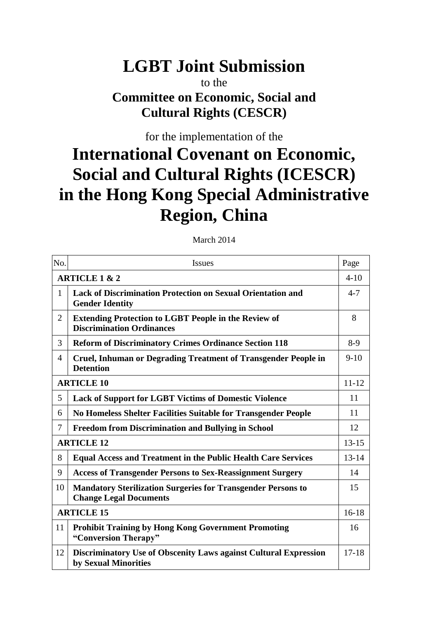# **LGBT Joint Submission**

# to the **Committee on Economic, Social and Cultural Rights (CESCR)**

for the implementation of the

# **International Covenant on Economic, Social and Cultural Rights (ICESCR) in the Hong Kong Special Administrative Region, China**

| No.                      | <b>Issues</b>                                                                                        | Page      |
|--------------------------|------------------------------------------------------------------------------------------------------|-----------|
| <b>ARTICLE 1 &amp; 2</b> |                                                                                                      | $4 - 10$  |
| 1                        | <b>Lack of Discrimination Protection on Sexual Orientation and</b><br><b>Gender Identity</b>         | $4 - 7$   |
| $\overline{2}$           | <b>Extending Protection to LGBT People in the Review of</b><br><b>Discrimination Ordinances</b>      | 8         |
| 3                        | <b>Reform of Discriminatory Crimes Ordinance Section 118</b>                                         | $8-9$     |
| 4                        | <b>Cruel, Inhuman or Degrading Treatment of Transgender People in</b><br><b>Detention</b>            | $9-10$    |
| <b>ARTICLE 10</b>        |                                                                                                      | $11 - 12$ |
| 5                        | <b>Lack of Support for LGBT Victims of Domestic Violence</b>                                         | 11        |
| 6                        | No Homeless Shelter Facilities Suitable for Transgender People                                       | 11        |
| 7                        | <b>Freedom from Discrimination and Bullying in School</b>                                            | 12        |
| <b>ARTICLE 12</b>        |                                                                                                      | $13 - 15$ |
| 8                        | <b>Equal Access and Treatment in the Public Health Care Services</b>                                 | $13 - 14$ |
| 9                        | <b>Access of Transgender Persons to Sex-Reassignment Surgery</b>                                     | 14        |
| 10                       | <b>Mandatory Sterilization Surgeries for Transgender Persons to</b><br><b>Change Legal Documents</b> | 15        |
| <b>ARTICLE 15</b>        |                                                                                                      | $16-18$   |
| 11                       | <b>Prohibit Training by Hong Kong Government Promoting</b><br>"Conversion Therapy"                   | 16        |
| 12                       | Discriminatory Use of Obscenity Laws against Cultural Expression<br>by Sexual Minorities             | $17 - 18$ |

March 2014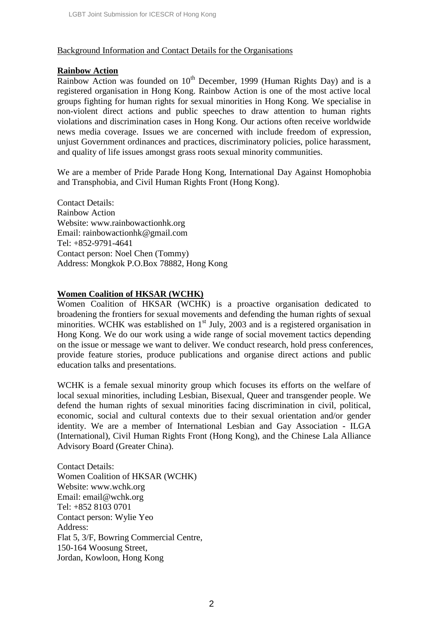# Background Information and Contact Details for the Organisations

### **Rainbow Action**

Rainbow Action was founded on  $10<sup>th</sup>$  December, 1999 (Human Rights Day) and is a registered organisation in Hong Kong. Rainbow Action is one of the most active local groups fighting for human rights for sexual minorities in Hong Kong. We specialise in non-violent direct actions and public speeches to draw attention to human rights violations and discrimination cases in Hong Kong. Our actions often receive worldwide news media coverage. Issues we are concerned with include freedom of expression, unjust Government ordinances and practices, discriminatory policies, police harassment, and quality of life issues amongst grass roots sexual minority communities.

We are a member of Pride Parade Hong Kong, International Day Against Homophobia and Transphobia, and Civil Human Rights Front (Hong Kong).

Contact Details: Rainbow Action Website: www.rainbowactionhk.org Email: rainbowactionhk@gmail.com Tel: +852-9791-4641 Contact person: Noel Chen (Tommy) Address: Mongkok P.O.Box 78882, Hong Kong

# **Women Coalition of HKSAR (WCHK)**

Women Coalition of HKSAR (WCHK) is a proactive organisation dedicated to broadening the frontiers for sexual movements and defending the human rights of sexual minorities. WCHK was established on  $1<sup>st</sup>$  July, 2003 and is a registered organisation in Hong Kong. We do our work using a wide range of social movement tactics depending on the issue or message we want to deliver. We conduct research, hold press conferences, provide feature stories, produce publications and organise direct actions and public education talks and presentations.

WCHK is a female sexual minority group which focuses its efforts on the welfare of local sexual minorities, including Lesbian, Bisexual, Queer and transgender people. We defend the human rights of sexual minorities facing discrimination in civil, political, economic, social and cultural contexts due to their sexual orientation and/or gender identity. We are a member of International Lesbian and Gay Association - ILGA (International), Civil Human Rights Front (Hong Kong), and the Chinese Lala Alliance Advisory Board (Greater China).

Contact Details: Women Coalition of HKSAR (WCHK) Website: www.wchk.org Email: email@wchk.org Tel: +852 8103 0701 Contact person: Wylie Yeo Address: Flat 5, 3/F, Bowring Commercial Centre, 150-164 Woosung Street, Jordan, Kowloon, Hong Kong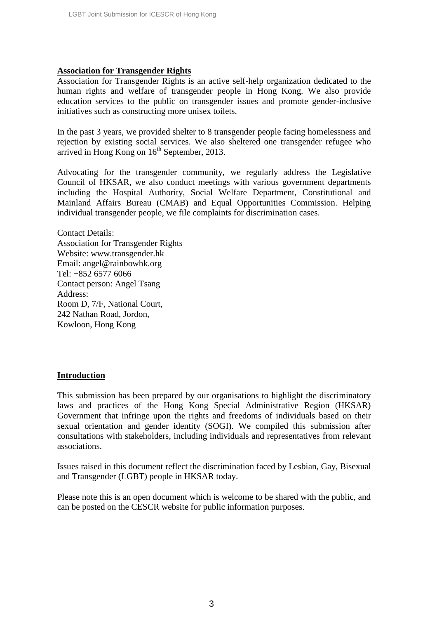### **Association for Transgender Rights**

Association for Transgender Rights is an active self-help organization dedicated to the human rights and welfare of transgender people in Hong Kong. We also provide education services to the public on transgender issues and promote gender-inclusive initiatives such as constructing more unisex toilets.

In the past 3 years, we provided shelter to 8 transgender people facing homelessness and rejection by existing social services. We also sheltered one transgender refugee who arrived in Hong Kong on  $16<sup>th</sup>$  September, 2013.

Advocating for the transgender community, we regularly address the Legislative Council of HKSAR, we also conduct meetings with various government departments including the Hospital Authority, Social Welfare Department, Constitutional and Mainland Affairs Bureau (CMAB) and Equal Opportunities Commission. Helping individual transgender people, we file complaints for discrimination cases.

Contact Details: Association for Transgender Rights Website: www.transgender.hk Email: angel@rainbowhk.org Tel: +852 6577 6066 Contact person: Angel Tsang Address: Room D, 7/F, National Court, 242 Nathan Road, Jordon, Kowloon, Hong Kong

#### **Introduction**

This submission has been prepared by our organisations to highlight the discriminatory laws and practices of the Hong Kong Special Administrative Region (HKSAR) Government that infringe upon the rights and freedoms of individuals based on their sexual orientation and gender identity (SOGI). We compiled this submission after consultations with stakeholders, including individuals and representatives from relevant associations.

Issues raised in this document reflect the discrimination faced by Lesbian, Gay, Bisexual and Transgender (LGBT) people in HKSAR today.

Please note this is an open document which is welcome to be shared with the public, and can be posted on the CESCR website for public information purposes.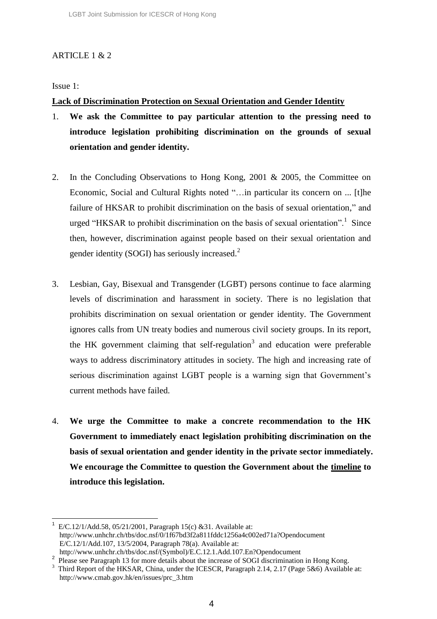# ARTICLE 1 & 2

Issue 1:

# **Lack of Discrimination Protection on Sexual Orientation and Gender Identity**

- 1. **We ask the Committee to pay particular attention to the pressing need to introduce legislation prohibiting discrimination on the grounds of sexual orientation and gender identity.**
- 2. In the Concluding Observations to Hong Kong, 2001 & 2005, the Committee on Economic, Social and Cultural Rights noted "…in particular its concern on ... [t]he failure of HKSAR to prohibit discrimination on the basis of sexual orientation," and urged "HKSAR to prohibit discrimination on the basis of sexual orientation".<sup>1</sup> Since then, however, discrimination against people based on their sexual orientation and gender identity (SOGI) has seriously increased. $<sup>2</sup>$ </sup>
- 3. Lesbian, Gay, Bisexual and Transgender (LGBT) persons continue to face alarming levels of discrimination and harassment in society. There is no legislation that prohibits discrimination on sexual orientation or gender identity. The Government ignores calls from UN treaty bodies and numerous civil society groups. In its report, the HK government claiming that self-regulation<sup>3</sup> and education were preferable ways to address discriminatory attitudes in society. The high and increasing rate of serious discrimination against LGBT people is a warning sign that Government's current methods have failed.
- 4. **We urge the Committee to make a concrete recommendation to the HK Government to immediately enact legislation prohibiting discrimination on the basis of sexual orientation and gender identity in the private sector immediately. We encourage the Committee to question the Government about the timeline to introduce this legislation.**

l 1 E/C.12/1/Add.58, 05/21/2001, Paragraph 15(c) &31. Available at: http://www.unhchr.ch/tbs/doc.nsf/0/1f67bd3f2a811fddc1256a4c002ed71a?Opendocument E/C.12/1/Add.107, 13/5/2004, Paragraph 78(a). Available at: http://www.unhchr.ch/tbs/doc.nsf/(Symbol)/E.C.12.1.Add.107.En?Opendocument

<sup>&</sup>lt;sup>2</sup> Please see Paragraph 13 for more details about the increase of SOGI discrimination in Hong Kong.

<sup>&</sup>lt;sup>3</sup> Third Report of the HKSAR, China, under the ICESCR, Paragraph 2.14, 2.17 (Page 5&6) Available at: http://www.cmab.gov.hk/en/issues/prc\_3.htm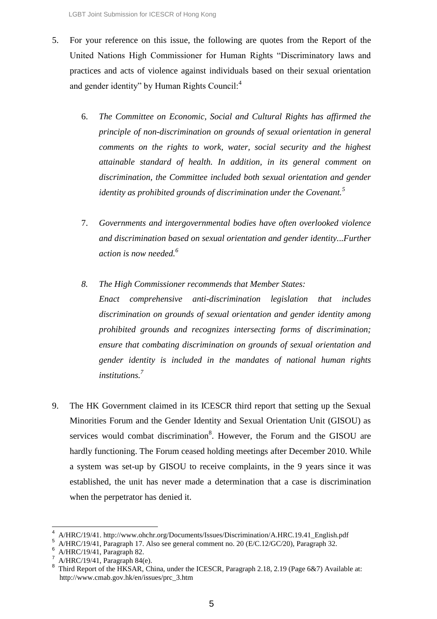- 5. For your reference on this issue, the following are quotes from the Report of the United Nations High Commissioner for Human Rights "Discriminatory laws and practices and acts of violence against individuals based on their sexual orientation and gender identity" by Human Rights Council:<sup>4</sup>
	- 6. *The Committee on Economic, Social and Cultural Rights has affirmed the principle of non-discrimination on grounds of sexual orientation in general comments on the rights to work, water, social security and the highest attainable standard of health. In addition, in its general comment on discrimination, the Committee included both sexual orientation and gender identity as prohibited grounds of discrimination under the Covenant.<sup>5</sup>*
	- 7. *Governments and intergovernmental bodies have often overlooked violence and discrimination based on sexual orientation and gender identity...Further action is now needed. 6*
	- *8. The High Commissioner recommends that Member States: Enact comprehensive anti-discrimination legislation that includes discrimination on grounds of sexual orientation and gender identity among prohibited grounds and recognizes intersecting forms of discrimination; ensure that combating discrimination on grounds of sexual orientation and gender identity is included in the mandates of national human rights institutions. 7*
- 9. The HK Government claimed in its ICESCR third report that setting up the Sexual Minorities Forum and the Gender Identity and Sexual Orientation Unit (GISOU) as services would combat discrimination<sup>8</sup>. However, the Forum and the GISOU are hardly functioning. The Forum ceased holding meetings after December 2010. While a system was set-up by GISOU to receive complaints, in the 9 years since it was established, the unit has never made a determination that a case is discrimination when the perpetrator has denied it.

 $\overline{\phantom{a}}$ 

<sup>4</sup> A/HRC/19/41. http://www.ohchr.org/Documents/Issues/Discrimination/A.HRC.19.41\_English.pdf

<sup>5</sup> A/HRC/19/41, Paragraph 17. Also see general comment no. 20 (E/C.12/GC/20), Paragraph 32.

<sup>6</sup> A/HRC/19/41, Paragraph 82.

A/HRC/19/41, Paragraph 84(e).

<sup>8</sup> Third Report of the HKSAR, China, under the ICESCR, Paragraph 2.18, 2.19 (Page 6&7) Available at: http://www.cmab.gov.hk/en/issues/prc\_3.htm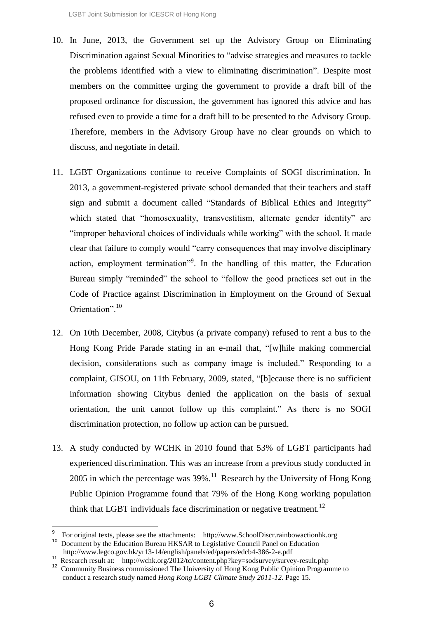- 10. In June, 2013, the Government set up the Advisory Group on Eliminating Discrimination against Sexual Minorities to "advise strategies and measures to tackle the problems identified with a view to eliminating discrimination". Despite most members on the committee urging the government to provide a draft bill of the proposed ordinance for discussion, the government has ignored this advice and has refused even to provide a time for a draft bill to be presented to the Advisory Group. Therefore, members in the Advisory Group have no clear grounds on which to discuss, and negotiate in detail.
- 11. LGBT Organizations continue to receive Complaints of SOGI discrimination. In 2013, a government-registered private school demanded that their teachers and staff sign and submit a document called "Standards of Biblical Ethics and Integrity" which stated that "homosexuality, transvestitism, alternate gender identity" are "improper behavioral choices of individuals while working" with the school. It made clear that failure to comply would "carry consequences that may involve disciplinary action, employment termination"<sup>9</sup>. In the handling of this matter, the Education Bureau simply "reminded" the school to "follow the good practices set out in the Code of Practice against Discrimination in Employment on the Ground of Sexual Orientation".<sup>10</sup>
- 12. On 10th December, 2008, Citybus (a private company) refused to rent a bus to the Hong Kong Pride Parade stating in an e-mail that, "[w]hile making commercial decision, considerations such as company image is included." Responding to a complaint, GISOU, on 11th February, 2009, stated, "[b]ecause there is no sufficient information showing Citybus denied the application on the basis of sexual orientation, the unit cannot follow up this complaint." As there is no SOGI discrimination protection, no follow up action can be pursued.
- 13. A study conducted by WCHK in 2010 found that 53% of LGBT participants had experienced discrimination. This was an increase from a previous study conducted in 2005 in which the percentage was  $39\%$ .<sup>11</sup> Research by the University of Hong Kong Public Opinion Programme found that 79% of the Hong Kong working population think that LGBT individuals face discrimination or negative treatment.<sup>12</sup>

<sup>9</sup> For original texts, please see the attachments: http://www.SchoolDiscr.rainbowactionhk.org <sup>10</sup> Document by the Education Bureau HKSAR to Legislative Council Panel on Education

http://www.legco.gov.hk/yr13-14/english/panels/ed/papers/edcb4-386-2-e.pdf

<sup>&</sup>lt;sup>11</sup> Research result at: http://wchk.org/2012/tc/content.php?key=sodsurvey/survey-result.php

<sup>&</sup>lt;sup>12</sup> Community Business commissioned The University of Hong Kong Public Opinion Programme to conduct a research study named *Hong Kong LGBT Climate Study 2011-12*. Page 15.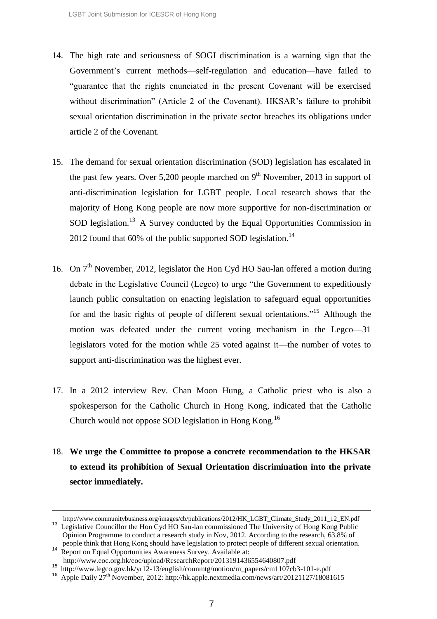- 14. The high rate and seriousness of SOGI discrimination is a warning sign that the Government's current methods—self-regulation and education—have failed to "guarantee that the rights enunciated in the present Covenant will be exercised without discrimination" (Article 2 of the Covenant). HKSAR's failure to prohibit sexual orientation discrimination in the private sector breaches its obligations under article 2 of the Covenant.
- 15. The demand for sexual orientation discrimination (SOD) legislation has escalated in the past few years. Over 5,200 people marched on  $9<sup>th</sup>$  November, 2013 in support of anti-discrimination legislation for LGBT people. Local research shows that the majority of Hong Kong people are now more supportive for non-discrimination or SOD legislation.<sup>13</sup> A Survey conducted by the Equal Opportunities Commission in 2012 found that  $60\%$  of the public supported SOD legislation.<sup>14</sup>
- 16. On  $7<sup>th</sup>$  November, 2012, legislator the Hon Cyd HO Sau-lan offered a motion during debate in the Legislative Council (Legco) to urge "the Government to expeditiously launch public consultation on enacting legislation to safeguard equal opportunities for and the basic rights of people of different sexual orientations."<sup>15</sup> Although the motion was defeated under the current voting mechanism in the Legco—31 legislators voted for the motion while 25 voted against it—the number of votes to support anti-discrimination was the highest ever.
- 17. In a 2012 interview Rev. Chan Moon Hung, a Catholic priest who is also a spokesperson for the Catholic Church in Hong Kong, indicated that the Catholic Church would not oppose SOD legislation in Hong Kong.<sup>16</sup>
- 18. **We urge the Committee to propose a concrete recommendation to the HKSAR to extend its prohibition of Sexual Orientation discrimination into the private sector immediately.**

http://www.communitybusiness.org/images/cb/publications/2012/HK\_LGBT\_Climate\_Study\_2011\_12\_EN.pdf <sup>13</sup> Legislative Councillor the Hon Cyd HO Sau-lan commissioned The University of Hong Kong Public Opinion Programme to conduct a research study in Nov, 2012. According to the research, 63.8% of people think that Hong Kong should have legislation to protect people of different sexual orientation.

<sup>&</sup>lt;sup>14</sup> Report on Equal Opportunities Awareness Survey. Available at:

http://www.eoc.org.hk/eoc/upload/ResearchReport/2013191436554640807.pdf

<sup>15</sup> http://www.legco.gov.hk/yr12-13/english/counmtg/motion/m\_papers/cm1107cb3-101-e.pdf

<sup>&</sup>lt;sup>16</sup> Apple Daily 27<sup>th</sup> November, 2012: http://hk.apple.nextmedia.com/news/art/20121127/18081615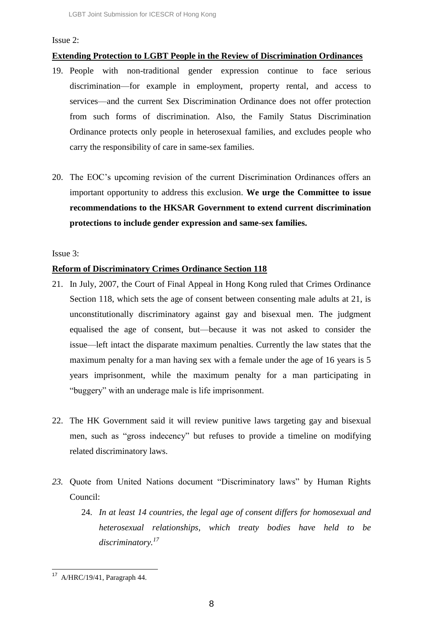#### Issue 2:

## **Extending Protection to LGBT People in the Review of Discrimination Ordinances**

- 19. People with non-traditional gender expression continue to face serious discrimination—for example in employment, property rental, and access to services—and the current Sex Discrimination Ordinance does not offer protection from such forms of discrimination. Also, the Family Status Discrimination Ordinance protects only people in heterosexual families, and excludes people who carry the responsibility of care in same-sex families.
- 20. The EOC's upcoming revision of the current Discrimination Ordinances offers an important opportunity to address this exclusion. **We urge the Committee to issue recommendations to the HKSAR Government to extend current discrimination protections to include gender expression and same-sex families.**

Issue 3:

#### **Reform of Discriminatory Crimes Ordinance Section 118**

- 21. In July, 2007, the Court of Final Appeal in Hong Kong ruled that Crimes Ordinance Section 118, which sets the age of consent between consenting male adults at 21, is unconstitutionally discriminatory against gay and bisexual men. The judgment equalised the age of consent, but—because it was not asked to consider the issue—left intact the disparate maximum penalties. Currently the law states that the maximum penalty for a man having sex with a female under the age of 16 years is 5 years imprisonment, while the maximum penalty for a man participating in "buggery" with an underage male is life imprisonment.
- 22. The HK Government said it will review punitive laws targeting gay and bisexual men, such as "gross indecency" but refuses to provide a timeline on modifying related discriminatory laws.
- *23.* Quote from United Nations document "Discriminatory laws" by Human Rights Council:
	- 24. *In at least 14 countries, the legal age of consent differs for homosexual and heterosexual relationships, which treaty bodies have held to be discriminatory.<sup>17</sup>*

l <sup>17</sup> A/HRC/19/41, Paragraph 44.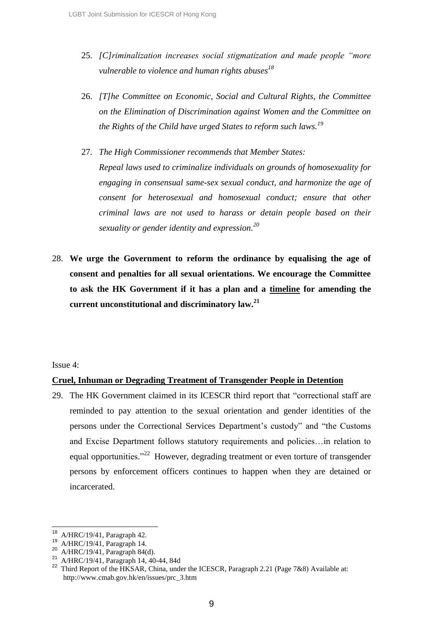- 25. *[C]riminalization increases social stigmatization and made people "more vulnerable to violence and human rights abuses<sup>18</sup>*
- 26. *[T]he Committee on Economic, Social and Cultural Rights, the Committee on the Elimination of Discrimination against Women and the Committee on the Rights of the Child have urged States to reform such laws.<sup>19</sup>*
- 27. *The High Commissioner recommends that Member States: Repeal laws used to criminalize individuals on grounds of homosexuality for engaging in consensual same-sex sexual conduct, and harmonize the age of consent for heterosexual and homosexual conduct; ensure that other criminal laws are not used to harass or detain people based on their sexuality or gender identity and expression.<sup>20</sup>*
- 28. **We urge the Government to reform the ordinance by equalising the age of consent and penalties for all sexual orientations. We encourage the Committee to ask the HK Government if it has a plan and a timeline for amending the current unconstitutional and discriminatory law.<sup>21</sup>**

#### Issue 4:

 $\overline{a}$ 

#### **Cruel, Inhuman or Degrading Treatment of Transgender People in Detention**

29. The HK Government claimed in its ICESCR third report that "correctional staff are reminded to pay attention to the sexual orientation and gender identities of the persons under the Correctional Services Department's custody" and "the Customs and Excise Department follows statutory requirements and policies…in relation to equal opportunities.<sup> $22$ </sup> However, degrading treatment or even torture of transgender persons by enforcement officers continues to happen when they are detained or incarcerated.

 $18$  A/HRC/19/41, Paragraph 42.

<sup>19</sup> A/HRC/19/41, Paragraph 14.

<sup>20</sup> A/HRC/19/41, Paragraph 84(d).

<sup>21</sup> A/HRC/19/41, Paragraph 14, 40-44, 84d

<sup>&</sup>lt;sup>22</sup> Third Report of the HKSAR, China, under the ICESCR, Paragraph 2.21 (Page 7&8) Available at: http://www.cmab.gov.hk/en/issues/prc\_3.htm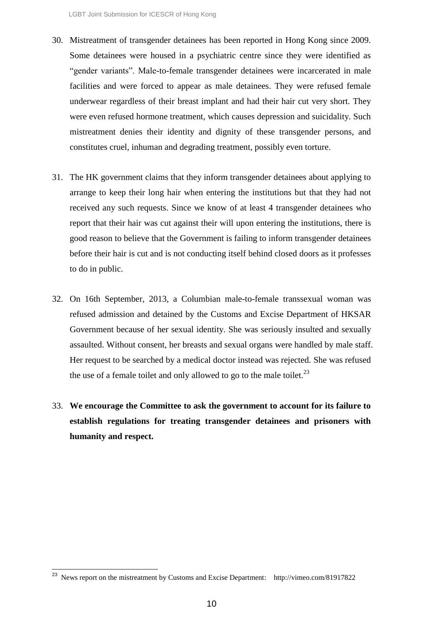- 30. Mistreatment of transgender detainees has been reported in Hong Kong since 2009. Some detainees were housed in a psychiatric centre since they were identified as "gender variants". Male-to-female transgender detainees were incarcerated in male facilities and were forced to appear as male detainees. They were refused female underwear regardless of their breast implant and had their hair cut very short. They were even refused hormone treatment, which causes depression and suicidality. Such mistreatment denies their identity and dignity of these transgender persons, and constitutes cruel, inhuman and degrading treatment, possibly even torture.
- 31. The HK government claims that they inform transgender detainees about applying to arrange to keep their long hair when entering the institutions but that they had not received any such requests. Since we know of at least 4 transgender detainees who report that their hair was cut against their will upon entering the institutions, there is good reason to believe that the Government is failing to inform transgender detainees before their hair is cut and is not conducting itself behind closed doors as it professes to do in public.
- 32. On 16th September, 2013, a Columbian male-to-female transsexual woman was refused admission and detained by the Customs and Excise Department of HKSAR Government because of her sexual identity. She was seriously insulted and sexually assaulted. Without consent, her breasts and sexual organs were handled by male staff. Her request to be searched by a medical doctor instead was rejected. She was refused the use of a female toilet and only allowed to go to the male toilet.<sup>23</sup>
- 33. **We encourage the Committee to ask the government to account for its failure to establish regulations for treating transgender detainees and prisoners with humanity and respect.**

l

<sup>23</sup> News report on the mistreatment by Customs and Excise Department: http://vimeo.com/81917822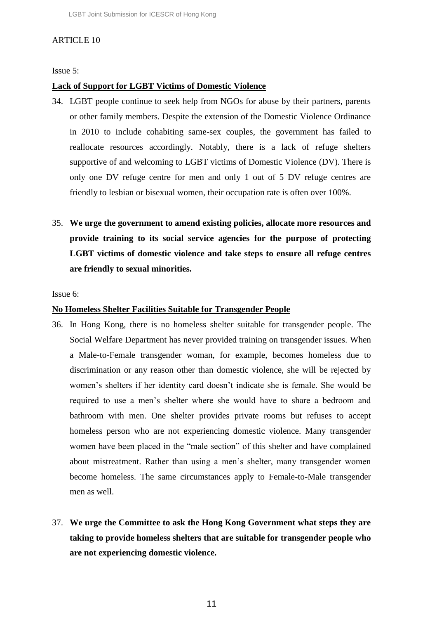## ARTICLE 10

Issue 5:

#### **Lack of Support for LGBT Victims of Domestic Violence**

- 34. LGBT people continue to seek help from NGOs for abuse by their partners, parents or other family members. Despite the extension of the Domestic Violence Ordinance in 2010 to include cohabiting same-sex couples, the government has failed to reallocate resources accordingly. Notably, there is a lack of refuge shelters supportive of and welcoming to LGBT victims of Domestic Violence (DV). There is only one DV refuge centre for men and only 1 out of 5 DV refuge centres are friendly to lesbian or bisexual women, their occupation rate is often over 100%.
- 35. **We urge the government to amend existing policies, allocate more resources and provide training to its social service agencies for the purpose of protecting LGBT victims of domestic violence and take steps to ensure all refuge centres are friendly to sexual minorities.**

Issue 6:

#### **No Homeless Shelter Facilities Suitable for Transgender People**

- 36. In Hong Kong, there is no homeless shelter suitable for transgender people. The Social Welfare Department has never provided training on transgender issues. When a Male-to-Female transgender woman, for example, becomes homeless due to discrimination or any reason other than domestic violence, she will be rejected by women's shelters if her identity card doesn't indicate she is female. She would be required to use a men's shelter where she would have to share a bedroom and bathroom with men. One shelter provides private rooms but refuses to accept homeless person who are not experiencing domestic violence. Many transgender women have been placed in the "male section" of this shelter and have complained about mistreatment. Rather than using a men's shelter, many transgender women become homeless. The same circumstances apply to Female-to-Male transgender men as well.
- 37. **We urge the Committee to ask the Hong Kong Government what steps they are taking to provide homeless shelters that are suitable for transgender people who are not experiencing domestic violence.**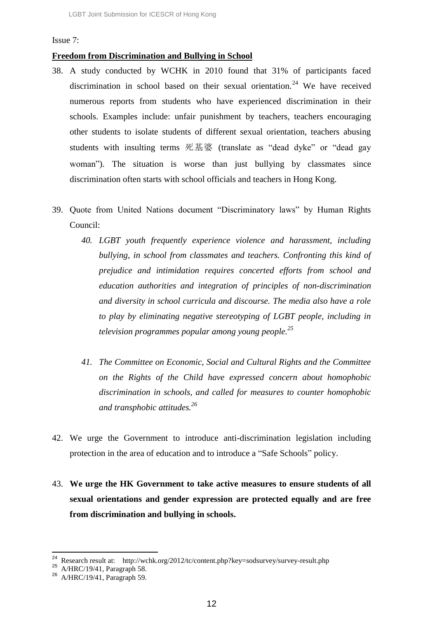#### Issue 7:

# **Freedom from Discrimination and Bullying in School**

- 38. A study conducted by WCHK in 2010 found that 31% of participants faced discrimination in school based on their sexual orientation.<sup>24</sup> We have received numerous reports from students who have experienced discrimination in their schools. Examples include: unfair punishment by teachers, teachers encouraging other students to isolate students of different sexual orientation, teachers abusing students with insulting terms 死基婆 (translate as "dead dyke" or "dead gay woman"). The situation is worse than just bullying by classmates since discrimination often starts with school officials and teachers in Hong Kong.
- 39. Quote from United Nations document "Discriminatory laws" by Human Rights Council:
	- *40. LGBT youth frequently experience violence and harassment, including bullying, in school from classmates and teachers. Confronting this kind of prejudice and intimidation requires concerted efforts from school and education authorities and integration of principles of non-discrimination and diversity in school curricula and discourse. The media also have a role to play by eliminating negative stereotyping of LGBT people, including in television programmes popular among young people.<sup>25</sup>*
	- *41. The Committee on Economic, Social and Cultural Rights and the Committee on the Rights of the Child have expressed concern about homophobic discrimination in schools, and called for measures to counter homophobic and transphobic attitudes.<sup>26</sup>*
- 42. We urge the Government to introduce anti-discrimination legislation including protection in the area of education and to introduce a "Safe Schools" policy.
- 43. **We urge the HK Government to take active measures to ensure students of all sexual orientations and gender expression are protected equally and are free from discrimination and bullying in schools.**

 $^{24}$  Research result at: http://wchk.org/2012/tc/content.php?key=sodsurvey/survey-result.php

<sup>25</sup> A/HRC/19/41, Paragraph 58.

<sup>26</sup> A/HRC/19/41, Paragraph 59.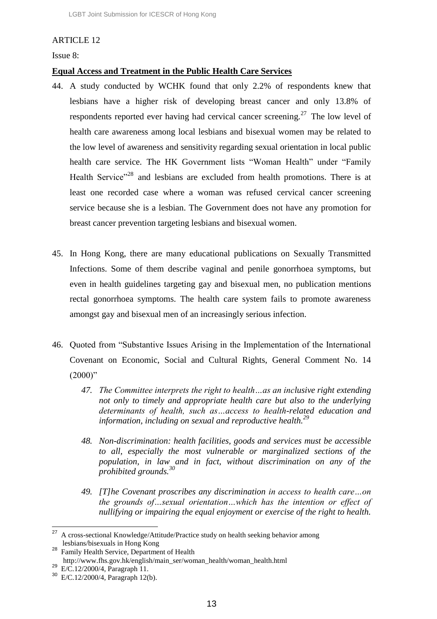# ARTICLE 12

Issue 8:

# **Equal Access and Treatment in the Public Health Care Services**

- 44. A study conducted by WCHK found that only 2.2% of respondents knew that lesbians have a higher risk of developing breast cancer and only 13.8% of respondents reported ever having had cervical cancer screening.<sup>27</sup> The low level of health care awareness among local lesbians and bisexual women may be related to the low level of awareness and sensitivity regarding sexual orientation in local public health care service. The HK Government lists "Woman Health" under "Family Health Service<sup>"28</sup> and lesbians are excluded from health promotions. There is at least one recorded case where a woman was refused cervical cancer screening service because she is a lesbian. The Government does not have any promotion for breast cancer prevention targeting lesbians and bisexual women.
- 45. In Hong Kong, there are many educational publications on Sexually Transmitted Infections. Some of them describe vaginal and penile gonorrhoea symptoms, but even in health guidelines targeting gay and bisexual men, no publication mentions rectal gonorrhoea symptoms. The health care system fails to promote awareness amongst gay and bisexual men of an increasingly serious infection.
- 46. Quoted from "Substantive Issues Arising in the Implementation of the International Covenant on Economic, Social and Cultural Rights, General Comment No. 14  $(2000)$ "
	- *47. The Committee interprets the right to health…as an inclusive right extending not only to timely and appropriate health care but also to the underlying determinants of health, such as…access to health-related education and information, including on sexual and reproductive health.<sup>29</sup>*
	- *48. Non-discrimination: health facilities, goods and services must be accessible to all, especially the most vulnerable or marginalized sections of the population, in law and in fact, without discrimination on any of the prohibited grounds.<sup>30</sup>*
	- *49. [T]he Covenant proscribes any discrimination in access to health care…on the grounds of…sexual orientation…which has the intention or effect of nullifying or impairing the equal enjoyment or exercise of the right to health.*

 $^{27}$  A cross-sectional Knowledge/Attitude/Practice study on health seeking behavior among lesbians/bisexuals in Hong Kong

<sup>28</sup> Family Health Service, Department of Health

http://www.fhs.gov.hk/english/main\_ser/woman\_health/woman\_health.html  $^{29}$  E/C.12/2000/4, Paragraph 11.

<sup>30</sup> E/C.12/2000/4, Paragraph 12(b).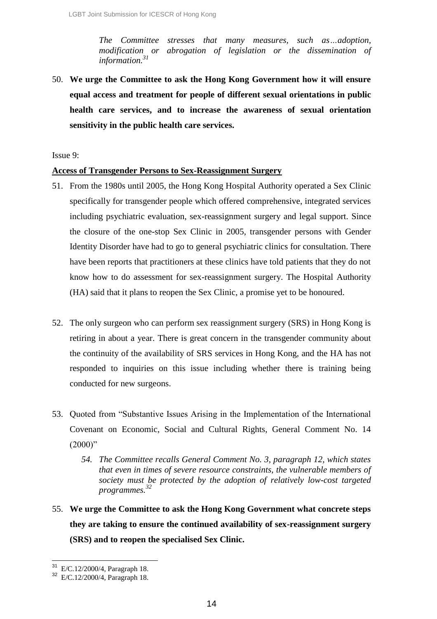*The Committee stresses that many measures, such as…adoption, modification or abrogation of legislation or the dissemination of information.<sup>31</sup>*

50. **We urge the Committee to ask the Hong Kong Government how it will ensure equal access and treatment for people of different sexual orientations in public health care services, and to increase the awareness of sexual orientation sensitivity in the public health care services.**

Issue 9:

### **Access of Transgender Persons to Sex-Reassignment Surgery**

- 51. From the 1980s until 2005, the Hong Kong Hospital Authority operated a Sex Clinic specifically for transgender people which offered comprehensive, integrated services including psychiatric evaluation, sex-reassignment surgery and legal support. Since the closure of the one-stop Sex Clinic in 2005, transgender persons with Gender Identity Disorder have had to go to general psychiatric clinics for consultation. There have been reports that practitioners at these clinics have told patients that they do not know how to do assessment for sex-reassignment surgery. The Hospital Authority (HA) said that it plans to reopen the Sex Clinic, a promise yet to be honoured.
- 52. The only surgeon who can perform sex reassignment surgery (SRS) in Hong Kong is retiring in about a year. There is great concern in the transgender community about the continuity of the availability of SRS services in Hong Kong, and the HA has not responded to inquiries on this issue including whether there is training being conducted for new surgeons.
- 53. Quoted from "Substantive Issues Arising in the Implementation of the International Covenant on Economic, Social and Cultural Rights, General Comment No. 14  $(2000)$ "
	- *54. The Committee recalls General Comment No. 3, paragraph 12, which states that even in times of severe resource constraints, the vulnerable members of society must be protected by the adoption of relatively low-cost targeted programmes. 32*
- 55. **We urge the Committee to ask the Hong Kong Government what concrete steps they are taking to ensure the continued availability of sex-reassignment surgery (SRS) and to reopen the specialised Sex Clinic.**

 $31$ E/C.12/2000/4, Paragraph 18.

<sup>32</sup> E/C.12/2000/4, Paragraph 18.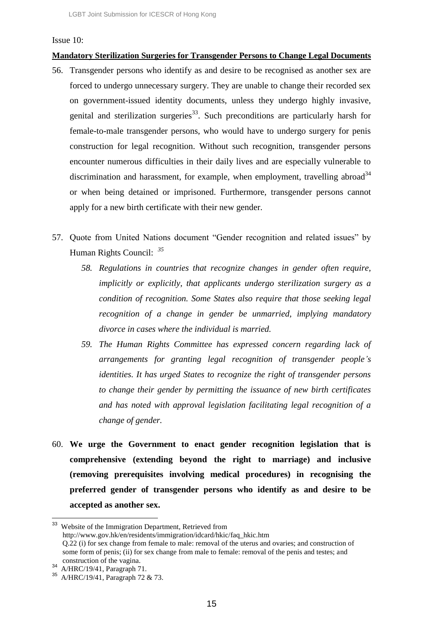#### Issue 10:

# **Mandatory Sterilization Surgeries for Transgender Persons to Change Legal Documents**

- 56. Transgender persons who identify as and desire to be recognised as another sex are forced to undergo unnecessary surgery. They are unable to change their recorded sex on government-issued identity documents, unless they undergo highly invasive, genital and sterilization surgeries<sup>33</sup>. Such preconditions are particularly harsh for female-to-male transgender persons, who would have to undergo surgery for penis construction for legal recognition. Without such recognition, transgender persons encounter numerous difficulties in their daily lives and are especially vulnerable to discrimination and harassment, for example, when employment, travelling abroad<sup>34</sup> or when being detained or imprisoned. Furthermore, transgender persons cannot apply for a new birth certificate with their new gender.
- 57. Quote from United Nations document "Gender recognition and related issues" by Human Rights Council: *<sup>35</sup>*
	- *58. Regulations in countries that recognize changes in gender often require, implicitly or explicitly, that applicants undergo sterilization surgery as a condition of recognition. Some States also require that those seeking legal recognition of a change in gender be unmarried, implying mandatory divorce in cases where the individual is married.*
	- *59. The Human Rights Committee has expressed concern regarding lack of arrangements for granting legal recognition of transgender people's identities. It has urged States to recognize the right of transgender persons to change their gender by permitting the issuance of new birth certificates and has noted with approval legislation facilitating legal recognition of a change of gender.*
- 60. **We urge the Government to enact gender recognition legislation that is comprehensive (extending beyond the right to marriage) and inclusive (removing prerequisites involving medical procedures) in recognising the preferred gender of transgender persons who identify as and desire to be accepted as another sex.**

<sup>&</sup>lt;sup>33</sup> Website of the Immigration Department, Retrieved from http://www.gov.hk/en/residents/immigration/idcard/hkic/faq\_hkic.htm Q.22 (i) for sex change from female to male: removal of the uterus and ovaries; and construction of some form of penis; (ii) for sex change from male to female: removal of the penis and testes; and construction of the vagina.

 $34$  A/HRC/19/41, Paragraph 71.

<sup>35</sup> A/HRC/19/41, Paragraph 72 & 73.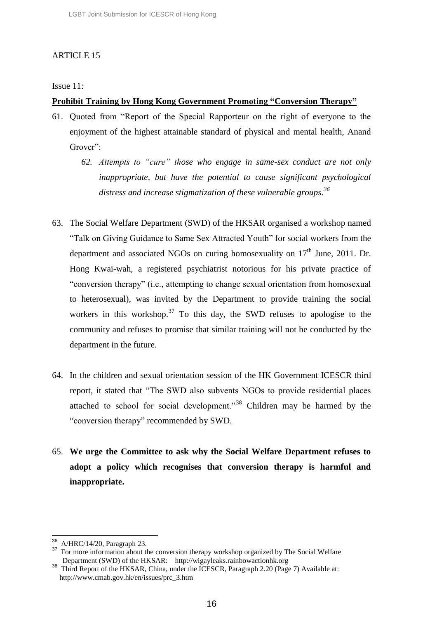# ARTICLE 15

Issue 11:

# **Prohibit Training by Hong Kong Government Promoting "Conversion Therapy"**

- 61. Quoted from "Report of the Special Rapporteur on the right of everyone to the enjoyment of the highest attainable standard of physical and mental health, Anand Grover":
	- *62. Attempts to "cure" those who engage in same-sex conduct are not only inappropriate, but have the potential to cause significant psychological distress and increase stigmatization of these vulnerable groups.<sup>36</sup>*
- 63. The Social Welfare Department (SWD) of the HKSAR organised a workshop named "Talk on Giving Guidance to Same Sex Attracted Youth" for social workers from the department and associated NGOs on curing homosexuality on  $17<sup>th</sup>$  June, 2011. Dr. Hong Kwai-wah, a registered psychiatrist notorious for his private practice of "conversion therapy" (i.e., attempting to change sexual orientation from homosexual to heterosexual), was invited by the Department to provide training the social workers in this workshop.<sup>37</sup> To this day, the SWD refuses to apologise to the community and refuses to promise that similar training will not be conducted by the department in the future.
- 64. In the children and sexual orientation session of the HK Government ICESCR third report, it stated that "The SWD also subvents NGOs to provide residential places attached to school for social development."<sup>38</sup> Children may be harmed by the "conversion therapy" recommended by SWD.
- 65. **We urge the Committee to ask why the Social Welfare Department refuses to adopt a policy which recognises that conversion therapy is harmful and inappropriate.**

l

<sup>36</sup> A/HRC/14/20, Paragraph 23.

<sup>&</sup>lt;sup>37</sup> For more information about the conversion therapy workshop organized by The Social Welfare Department (SWD) of the HKSAR: http://wigayleaks.rainbowactionhk.org

<sup>&</sup>lt;sup>38</sup> Third Report of the HKSAR, China, under the ICESCR, Paragraph 2.20 (Page 7) Available at: http://www.cmab.gov.hk/en/issues/prc\_3.htm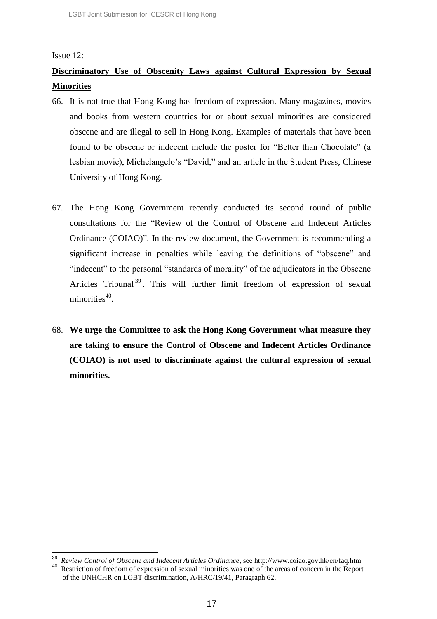#### Issue 12:

 $\overline{\phantom{a}}$ 

# **Discriminatory Use of Obscenity Laws against Cultural Expression by Sexual Minorities**

- 66. It is not true that Hong Kong has freedom of expression. Many magazines, movies and books from western countries for or about sexual minorities are considered obscene and are illegal to sell in Hong Kong. Examples of materials that have been found to be obscene or indecent include the poster for "Better than Chocolate" (a lesbian movie), Michelangelo's "David," and an article in the Student Press, Chinese University of Hong Kong.
- 67. The Hong Kong Government recently conducted its second round of public consultations for the "Review of the Control of Obscene and Indecent Articles Ordinance (COIAO)". In the review document, the Government is recommending a significant increase in penalties while leaving the definitions of "obscene" and "indecent" to the personal "standards of morality" of the adjudicators in the Obscene Articles Tribunal<sup>39</sup>. This will further limit freedom of expression of sexual minorities<sup>40</sup>.
- 68. **We urge the Committee to ask the Hong Kong Government what measure they are taking to ensure the Control of Obscene and Indecent Articles Ordinance (COIAO) is not used to discriminate against the cultural expression of sexual minorities.**

<sup>39</sup> *Review Control of Obscene and Indecent Articles Ordinance*, see http://www.coiao.gov.hk/en/faq.htm <sup>40</sup> Restriction of freedom of expression of sexual minorities was one of the areas of concern in the Report

of the UNHCHR on LGBT discrimination, A/HRC/19/41, Paragraph 62.